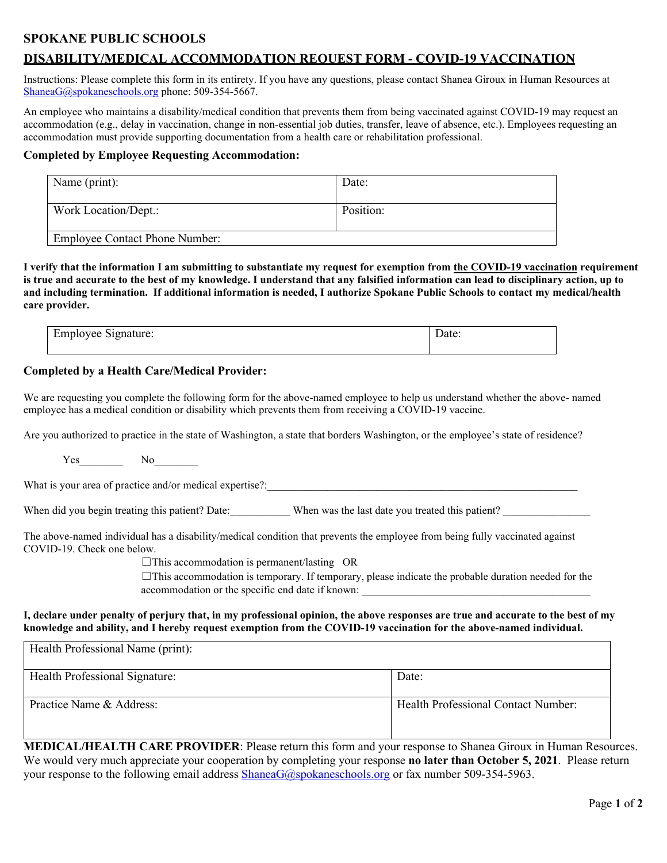## **SPOKANE PUBLIC SCHOOLS**

## **DISABILITY/MEDICAL ACCOMMODATION REQUEST FORM - COVID-19 VACCINATION**

Instructions: Please complete this form in its entirety. If you have any questions, please contact Shanea Giroux in Human Resources at [ShaneaG@spokaneschools.org](mailto:ShaneaG@spokaneschools.org) phone: 509-354-5667.

An employee who maintains a disability/medical condition that prevents them from being vaccinated against COVID-19 may request an accommodation (e.g., delay in vaccination, change in non-essential job duties, transfer, leave of absence, etc.). Employees requesting an accommodation must provide supporting documentation from a health care or rehabilitation professional.

### **Completed by Employee Requesting Accommodation:**

| Name (print):                         | Date:     |
|---------------------------------------|-----------|
| Work Location/Dept.:                  | Position: |
| <b>Employee Contact Phone Number:</b> |           |

**I verify that the information I am submitting to substantiate my request for exemption from the COVID-19 vaccination requirement is true and accurate to the best of my knowledge. I understand that any falsified information can lead to disciplinary action, up to and including termination. If additional information is needed, I authorize Spokane Public Schools to contact my medical/health care provider.**

| $\mathbf$<br>$\lambda$ . $\lambda$<br>$\cdots$<br>$\ldots$ UV $-$<br>- 6<br>aluit.<br>--------<br>___<br>and the contract of the con-<br>- - |  |
|----------------------------------------------------------------------------------------------------------------------------------------------|--|
|                                                                                                                                              |  |

### **Completed by a Health Care/Medical Provider:**

We are requesting you complete the following form for the above-named employee to help us understand whether the above- named employee has a medical condition or disability which prevents them from receiving a COVID-19 vaccine.

Are you authorized to practice in the state of Washington, a state that borders Washington, or the employee's state of residence?

Yes No

What is your area of practice and/or medical expertise?:\_\_\_\_\_\_\_\_\_\_\_\_\_\_\_\_\_\_\_\_\_\_\_\_\_\_\_\_\_\_\_\_\_\_\_\_\_\_\_\_\_\_\_\_\_\_\_\_\_\_\_\_\_\_\_\_\_

When did you begin treating this patient? Date: When was the last date you treated this patient?

The above-named individual has a disability/medical condition that prevents the employee from being fully vaccinated against COVID-19. Check one below.

☐This accommodation is permanent/lasting OR

 $\Box$ This accommodation is temporary. If temporary, please indicate the probable duration needed for the accommodation or the specific end date if known:

#### **I, declare under penalty of perjury that, in my professional opinion, the above responses are true and accurate to the best of my knowledge and ability, and I hereby request exemption from the COVID-19 vaccination for the above-named individual.**

| Health Professional Name (print): |                                            |
|-----------------------------------|--------------------------------------------|
| Health Professional Signature:    | Date:                                      |
| Practice Name & Address:          | <b>Health Professional Contact Number:</b> |

**MEDICAL/HEALTH CARE PROVIDER**: Please return this form and your response to Shanea Giroux in Human Resources. We would very much appreciate your cooperation by completing your response **no later than October 5, 2021**. Please return your response to the following email address  $ShaneaG(\partial s)$  pokaneschools.org or fax number 509-354-5963.